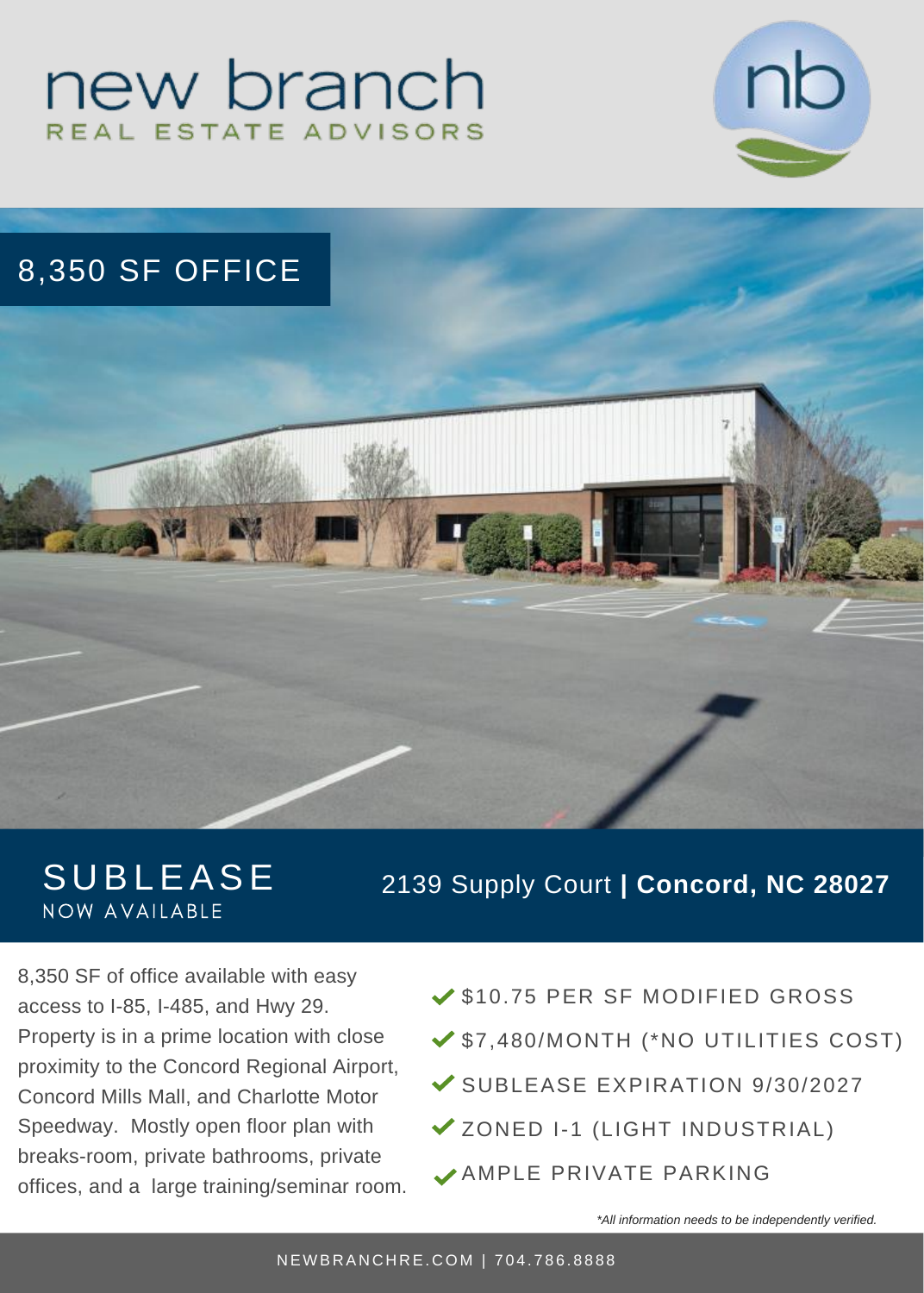# new branch REAL ESTATE ADVISORS



# 8,350 SF OFFICE



# **SUBLEASE** NOW AVAILABLE

#### 2139 Supply Court **| Concord, NC 28027**

8,350 SF of office available with easy access to I-85, I-485, and Hwy 29. Property is in a prime location with close proximity to the Concord Regional Airport, Concord Mills Mall, and Charlotte Motor Speedway. Mostly open floor plan with breaks-room, private bathrooms, private offices, and a large training/seminar room.

- ◆ \$10.75 PER SF MODIFIED GROSS
- \$7,480/MONTH (\*NO UTILITIES COST)
- SUBLEASE EXPIRATION 9/30/2027
- ZONED I-1 (LIGHT INDUSTRIAL)
- AMPLE PRIVATE PARKING

*\*All information needs to be independently verified.*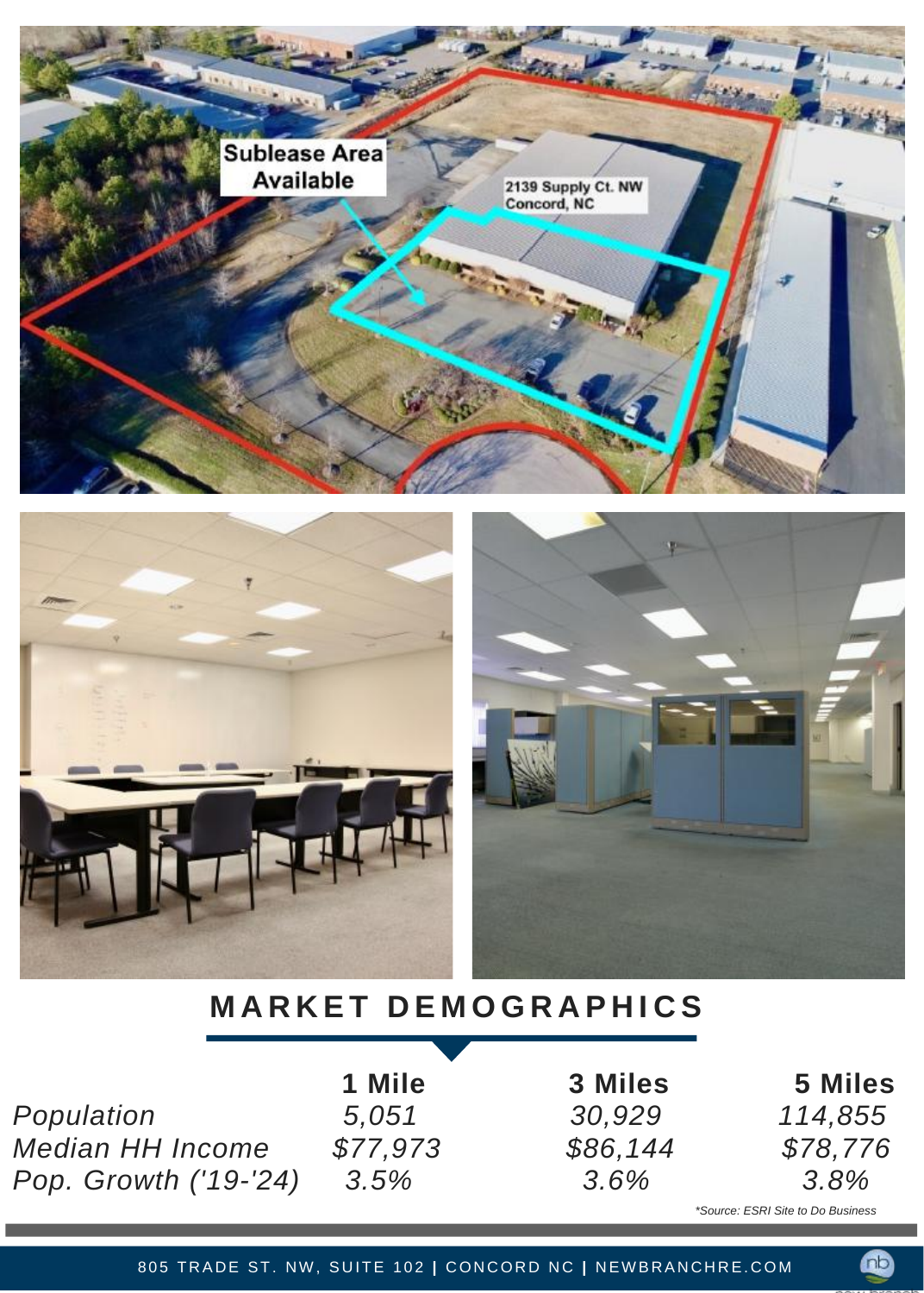





# **M A R K E T D E M O G R A P H I C S**

*Population 5,051 30,929 114,855 Median HH Income \$77,973 \$86,144 \$78,776 Pop. Growth ('19-'24) 3.5% 3.6% 3.8%*

**1 Mile 3 Miles 5 Miles**

*\*Source: ESRI Site to Do Business*

Œ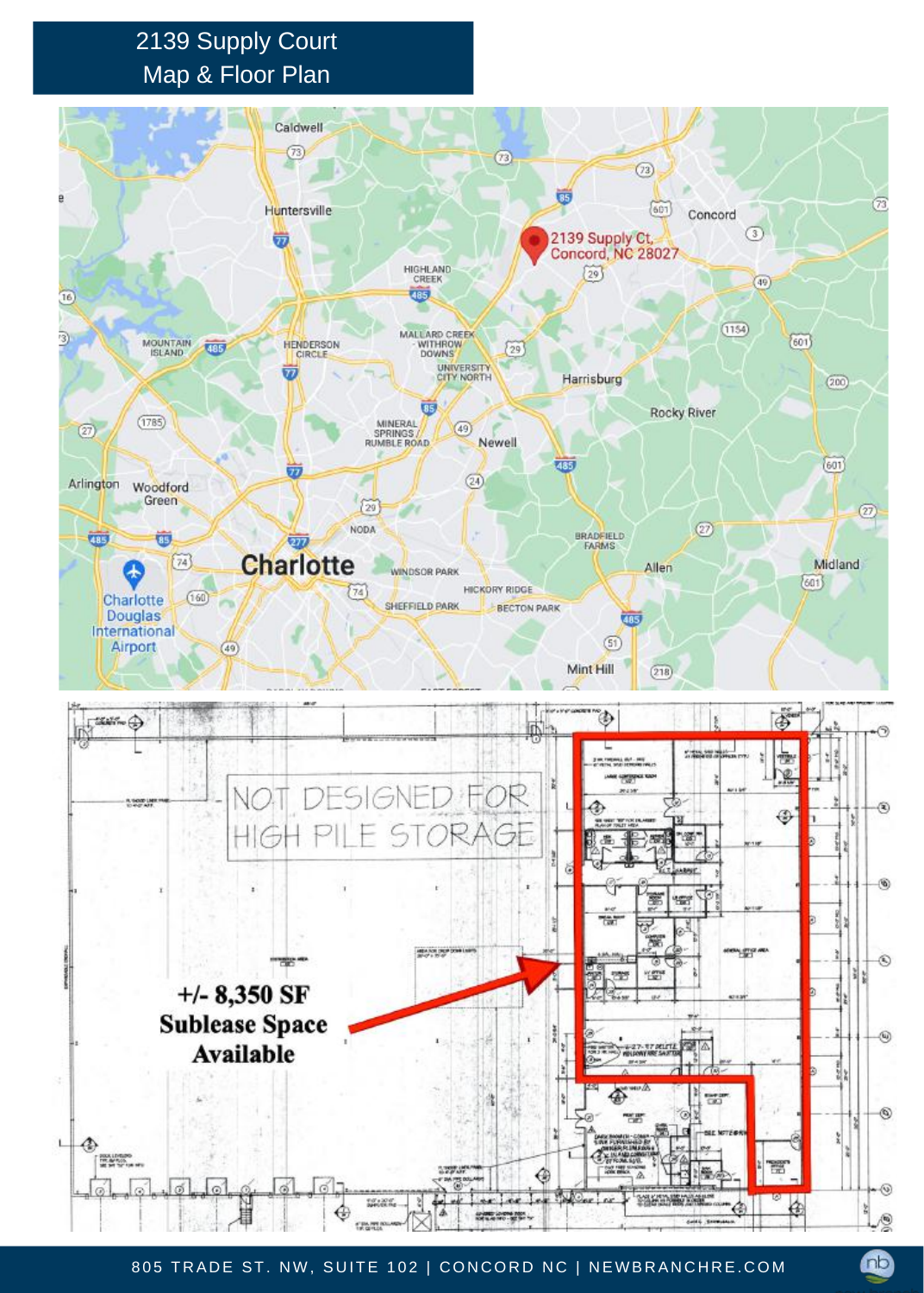### 2139 Supply Court Map & Floor Plan